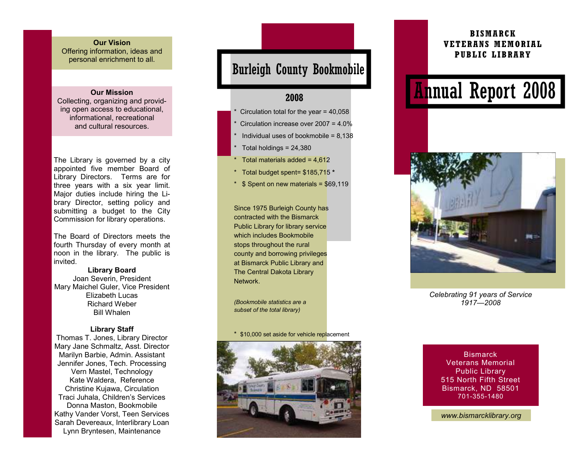#### **Our Vision**  Offering information, ideas and personal enrichment to all.

#### **Our Mission**

 Collecting, organizing and providing open access to educational, informational, recreational and cultural resources.

The Library is governed by a city appointed five member Board of Library Directors. Terms are for three years with a six year limit. Major duties include hiring the Library Director, setting policy and submitting a budget to the City Commission for library operations.

The Board of Directors meets the fourth Thursday of every month at noon in the library. The public is invited.

**Library Board** Joan Severin, President Mary Maichel Guler, Vice President Elizabeth Lucas Richard Weber Bill Whalen

#### **Library Staff**

 Thomas T. Jones, Library Director Mary Jane Schmaltz, Asst. Director Marilyn Barbie, Admin. Assistant Jennifer Jones, Tech. Processing Vern Mastel, Technology Kate Waldera, Reference Christine Kujawa, Circulation Traci Juhala, Children's Services Donna Maston, Bookmobile Kathy Vander Vorst, Teen Services Sarah Devereaux, Interlibrary Loan Lynn Bryntesen, Maintenance

## Burleigh County Bookmobile

### **2008**

- Circulation total for the year =  $40,058$
- Circulation increase over  $2007 = 4.0\%$
- Individual uses of bookmobile =  $8.138$
- Total holdings  $= 24,380$
- Total materials added =  $4.612$
- \* Total budget spent= \$185,715 **\***
- $*$  \$ Spent on new materials =  $$69,119$

Since 1975 Burleigh County has contracted with the Bismarck Public Library for library service which includes Bookmobile stops throughout the rural county and borrowing privileges at Bismarck Public Library and The Central Dakota Library Network.

*(Bookmobile statistics are a subset of the total library)* 

\* \$10,000 set aside for vehicle replacement



### **BISMARCK VETERANS MEMORIAL PUBLIC LIBRARY**

# Annual Report 2008



*Celebrating 91 years of Service 1917—2008* 

**Bismarck**  Veterans Memorial Public Library 515 North Fifth Street Bismarck, ND 58501 701-355-1480

*www.bismarcklibrary.org*